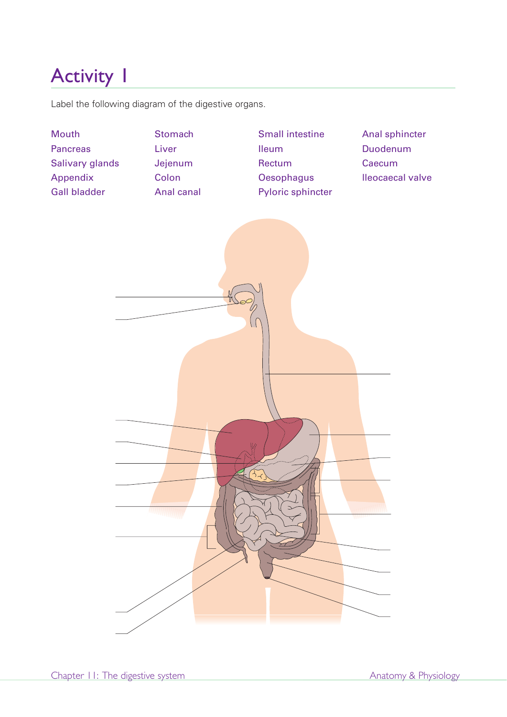Label the following diagram of the digestive organs.

**Mouth Pancreas** Salivary glands Appendix Gall bladder **Stomach** Liver Jejenum Colon Anal canal Small intestine Ileum Rectum **Oesophagus** Pyloric sphincter Anal sphincter Duodenum **Caecum** lleocaecal valve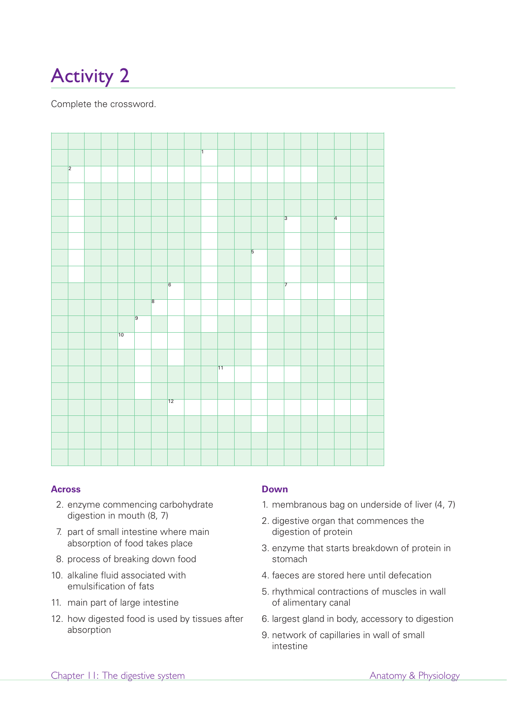Complete the crossword.



#### **Across**

- 2. enzyme commencing carbohydrate digestion in mouth (8, 7)
- 7. part of small intestine where main absorption of food takes place
- 8. process of breaking down food
- 10. alkaline fluid associated with emulsification of fats
- 11. main part of large intestine
- 12. how digested food is used by tissues after absorption

## **Down**

- 1. membranous bag on underside of liver (4, 7)
- 2. digestive organ that commences the digestion of protein
- 3. enzyme that starts breakdown of protein in stomach
- 4. faeces are stored here until defecation
- 5. rhythmical contractions of muscles in wall of alimentary canal
- 6. largest gland in body, accessory to digestion
- 9. network of capillaries in wall of small intestine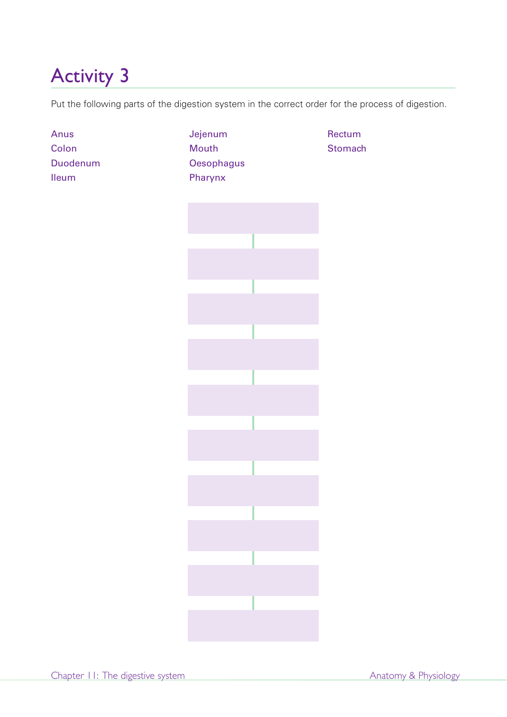Put the following parts of the digestion system in the correct order for the process of digestion.

| Anus<br>Colon<br>Duodenum<br><b>Ileum</b> | Jejenum<br>Mouth<br>Oesophagus<br>Pharynx | Rectum<br>Stomach |  |  |
|-------------------------------------------|-------------------------------------------|-------------------|--|--|
|                                           |                                           |                   |  |  |
|                                           |                                           |                   |  |  |
|                                           |                                           |                   |  |  |
|                                           |                                           |                   |  |  |
|                                           |                                           |                   |  |  |
|                                           |                                           |                   |  |  |
|                                           |                                           |                   |  |  |
|                                           |                                           |                   |  |  |
|                                           |                                           |                   |  |  |
|                                           |                                           |                   |  |  |
|                                           |                                           |                   |  |  |
|                                           |                                           |                   |  |  |
|                                           |                                           |                   |  |  |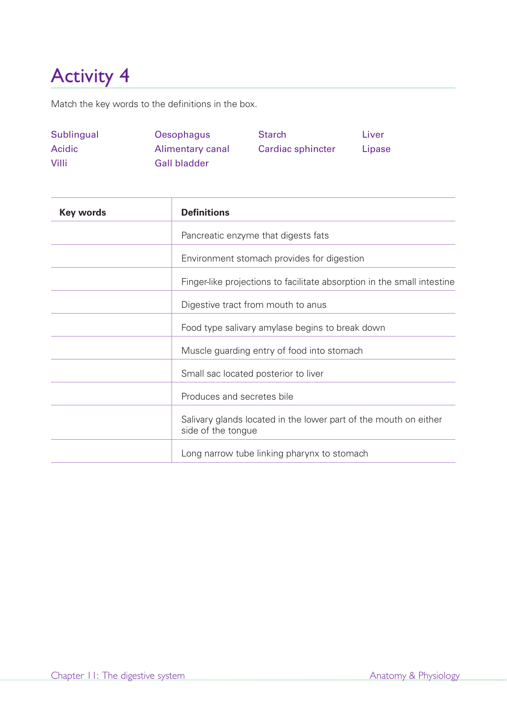Match the key words to the definitions in the box.

| Sublingual   | Oesophagus          | <b>Starch</b>     | Liver  |
|--------------|---------------------|-------------------|--------|
| Acidic       | Alimentary canal    | Cardiac sphincter | Lipase |
| <b>Villi</b> | <b>Gall bladder</b> |                   |        |

| <b>Key words</b> | <b>Definitions</b>                                                                     |  |  |
|------------------|----------------------------------------------------------------------------------------|--|--|
|                  | Pancreatic enzyme that digests fats                                                    |  |  |
|                  | Environment stomach provides for digestion                                             |  |  |
|                  | Finger-like projections to facilitate absorption in the small intestine                |  |  |
|                  | Digestive tract from mouth to anus                                                     |  |  |
|                  | Food type salivary amylase begins to break down                                        |  |  |
|                  | Muscle guarding entry of food into stomach                                             |  |  |
|                  | Small sac located posterior to liver                                                   |  |  |
|                  | Produces and secretes bile                                                             |  |  |
|                  | Salivary glands located in the lower part of the mouth on either<br>side of the tongue |  |  |
|                  | Long narrow tube linking pharynx to stomach                                            |  |  |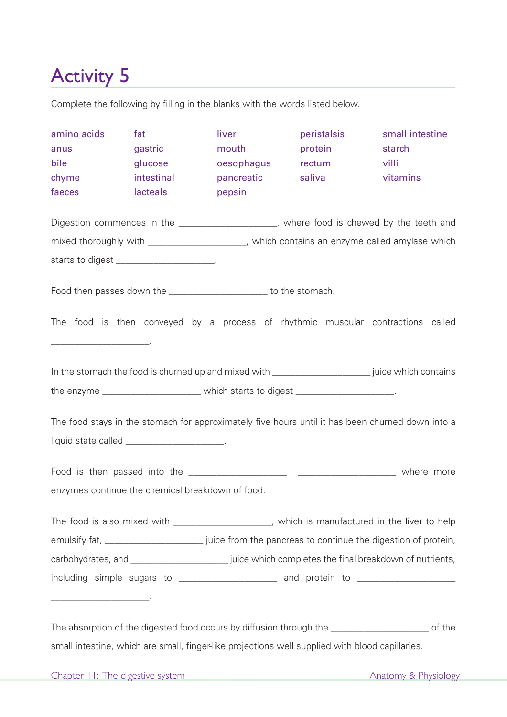Complete the following by filling in the blanks with the words listed below.

| amino acids<br>anus<br>bile<br>chyme<br>faeces                                                                                                  | fat<br>gastric<br>glucose<br>intestinal<br>lacteals | liver<br>mouth<br>oesophagus<br>pancreatic<br>pepsin                                                      | peristalsis<br>protein<br>rectum<br>saliva | small intestine<br>starch<br>villi<br>vitamins |  |  |  |
|-------------------------------------------------------------------------------------------------------------------------------------------------|-----------------------------------------------------|-----------------------------------------------------------------------------------------------------------|--------------------------------------------|------------------------------------------------|--|--|--|
| Digestion commences in the _____________________, where food is chewed by the teeth and                                                         |                                                     |                                                                                                           |                                            |                                                |  |  |  |
|                                                                                                                                                 |                                                     | mixed thoroughly with ____________________, which contains an enzyme called amylase which                 |                                            |                                                |  |  |  |
|                                                                                                                                                 | starts to digest ______________________.            |                                                                                                           |                                            |                                                |  |  |  |
|                                                                                                                                                 |                                                     |                                                                                                           |                                            |                                                |  |  |  |
|                                                                                                                                                 |                                                     | Food then passes down the ________________________ to the stomach.                                        |                                            |                                                |  |  |  |
|                                                                                                                                                 |                                                     | The food is then conveyed by a process of rhythmic muscular contractions called                           |                                            |                                                |  |  |  |
| In the stomach the food is churned up and mixed with ________________________ juice which contains                                              |                                                     |                                                                                                           |                                            |                                                |  |  |  |
|                                                                                                                                                 |                                                     | the enzyme _________________________ which starts to digest ____________________.                         |                                            |                                                |  |  |  |
| The food stays in the stomach for approximately five hours until it has been churned down into a<br>liquid state called ______________________. |                                                     |                                                                                                           |                                            |                                                |  |  |  |
|                                                                                                                                                 |                                                     |                                                                                                           |                                            |                                                |  |  |  |
| enzymes continue the chemical breakdown of food.                                                                                                |                                                     |                                                                                                           |                                            |                                                |  |  |  |
|                                                                                                                                                 |                                                     | The food is also mixed with _____________________, which is manufactured in the liver to help             |                                            |                                                |  |  |  |
|                                                                                                                                                 |                                                     | emulsify fat, _____________________________ juice from the pancreas to continue the digestion of protein, |                                            |                                                |  |  |  |
|                                                                                                                                                 |                                                     |                                                                                                           |                                            |                                                |  |  |  |
| including simple sugars to ______________________ and protein to ________________                                                               |                                                     |                                                                                                           |                                            |                                                |  |  |  |
|                                                                                                                                                 |                                                     |                                                                                                           |                                            |                                                |  |  |  |

The absorption of the digested food occurs by diffusion through the \_\_\_\_\_\_\_\_\_\_\_\_\_\_\_\_\_\_\_\_\_ of the small intestine, which are small, finger-like projections well supplied with blood capillaries.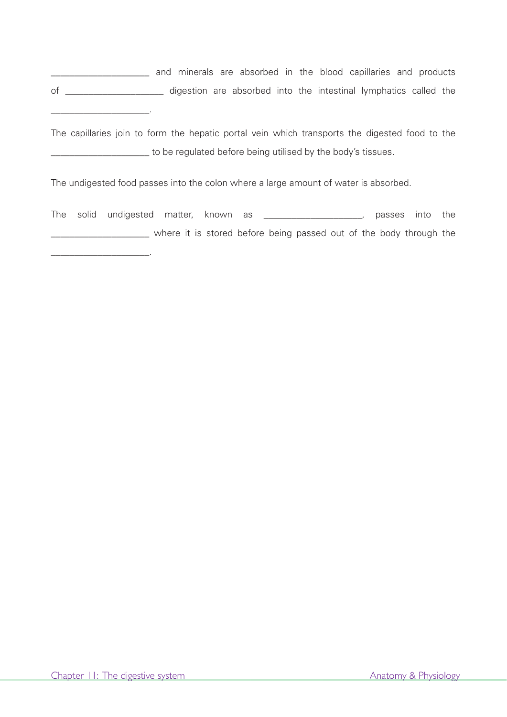\_\_\_\_\_\_\_\_\_\_\_\_\_\_\_\_\_\_\_\_\_ and minerals are absorbed in the blood capillaries and products of \_\_\_\_\_\_\_\_\_\_\_\_\_\_\_\_\_\_\_\_\_ digestion are absorbed into the intestinal lymphatics called the

The capillaries join to form the hepatic portal vein which transports the digested food to the \_\_\_\_\_\_\_\_\_\_\_\_\_\_\_\_\_\_\_\_\_ to be regulated before being utilised by the body's tissues.

The undigested food passes into the colon where a large amount of water is absorbed.

The solid undigested matter, known as \_\_\_\_\_\_\_\_\_\_\_\_\_\_\_\_\_\_\_\_, passes into the where it is stored before being passed out of the body through the

\_\_\_\_\_\_\_\_\_\_\_\_\_\_\_\_\_\_\_\_\_.

\_\_\_\_\_\_\_\_\_\_\_\_\_\_\_\_\_\_\_\_\_.